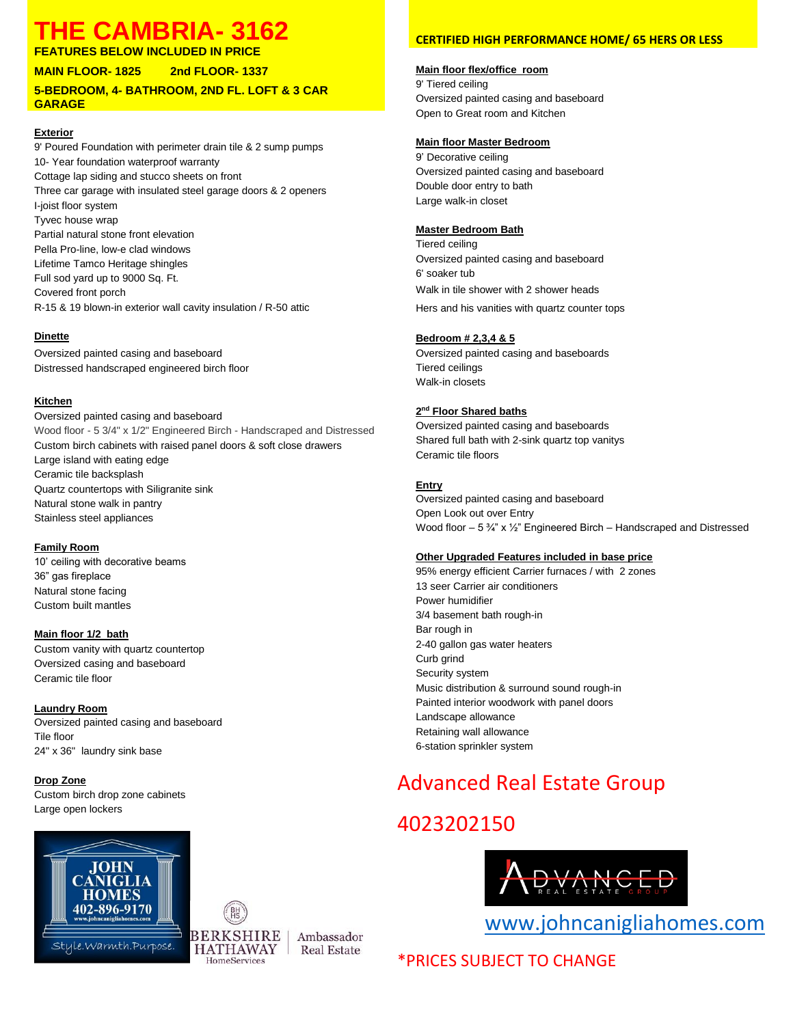## **THE CAMBRIA- 3162**

**FEATURES BELOW INCLUDED IN PRICE**

**MAIN FLOOR- 1825 2nd FLOOR- 1337**

#### **5-BEDROOM, 4- BATHROOM, 2ND FL. LOFT & 3 CAR GARAGE**

#### **Exterior**

9' Poured Foundation with perimeter drain tile & 2 sump pumps 10- Year foundation waterproof warranty Cottage lap siding and stucco sheets on front Three car garage with insulated steel garage doors & 2 openers I-joist floor system Tyvec house wrap Partial natural stone front elevation Pella Pro-line, low-e clad windows Lifetime Tamco Heritage shingles Full sod yard up to 9000 Sq. Ft. Covered front porch R-15 & 19 blown-in exterior wall cavity insulation / R-50 attic

#### **Dinette**

Oversized painted casing and baseboard Distressed handscraped engineered birch floor

#### **Kitchen**

Oversized painted casing and baseboard Wood floor - 5 3/4" x 1/2" Engineered Birch - Handscraped and Distressed Custom birch cabinets with raised panel doors & soft close drawers Large island with eating edge Ceramic tile backsplash Quartz countertops with Siligranite sink Natural stone walk in pantry Stainless steel appliances

#### **Family Room**

10' ceiling with decorative beams 36" gas fireplace Natural stone facing Custom built mantles

#### **Main floor 1/2 bath**

Custom vanity with quartz countertop Oversized casing and baseboard Ceramic tile floor

#### **Laundry Room**

Oversized painted casing and baseboard Tile floor 24" x 36" laundry sink base

#### **Drop Zone**

Custom birch drop zone cabinets Large open lockers





Ambassador **Real Estate** 

#### **CERTIFIED HIGH PERFORMANCE HOME/ 65 HERS OR LESS**

#### **Main floor flex/office room**

9' Tiered ceiling Oversized painted casing and baseboard Open to Great room and Kitchen

#### **Main floor Master Bedroom**

9' Decorative ceiling Oversized painted casing and baseboard Double door entry to bath Large walk-in closet

#### **Master Bedroom Bath**

Tiered ceiling Oversized painted casing and baseboard 6' soaker tub Walk in tile shower with 2 shower heads Hers and his vanities with quartz counter tops

#### **Bedroom # 2,3,4 & 5**

Oversized painted casing and baseboards Tiered ceilings Walk-in closets

#### **2 nd Floor Shared baths**

Oversized painted casing and baseboards Shared full bath with 2-sink quartz top vanitys Ceramic tile floors

#### **Entry**

Oversized painted casing and baseboard Open Look out over Entry Wood floor – 5 ¾" x ½" Engineered Birch – Handscraped and Distressed

#### **Other Upgraded Features included in base price**

95% energy efficient Carrier furnaces / with 2 zones 13 seer Carrier air conditioners Power humidifier 3/4 basement bath rough-in Bar rough in 2-40 gallon gas water heaters Curb grind Security system Music distribution & surround sound rough-in Painted interior woodwork with panel doors Landscape allowance Retaining wall allowance 6-station sprinkler system

## Advanced Real Estate Group

## 4023202150



[www.johncanigliahomes.com](http://www.johncanigliahomes.com/)

### \*PRICES SUBJECT TO CHANGE